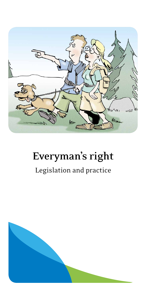

# **Everyman's right**

### Legislation and practice

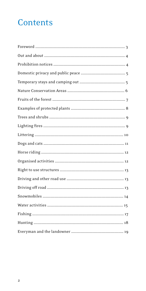# Contents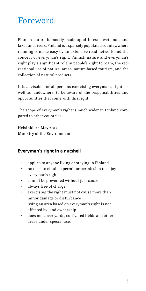### <span id="page-2-0"></span>Foreword

Finnish nature is mostly made up of forests, wetlands, and lakes and rivers. Finland is a sparsely populated country, where roaming is made easy by an extensive road network and the concept of everyman's right. Finnish nature and everyman's right play a significant role in people's right to roam, the recreational use of natural areas, nature-based tourism, and the collection of natural products.

It is advisable for all persons exercising everyman's right, as well as landowners, to be aware of the responsibilities and opportunities that come with this right.

The scope of everyman's right is much wider in Finland compared to other countries.

**Helsinki, 24 May 2013 Ministry of the Environment**

### Everyman's right in a nutshell

- applies to anyone living or staying in Finland
- no need to obtain a permit or permission to enjoy everyman's right
- cannot be prevented without just cause
- always free of charge
- exercising the right must not cause more than minor damage or disturbance
- using an area based on everyman's right is not affected by land ownership
- does not cover yards, cultivated fields and other areas under special use.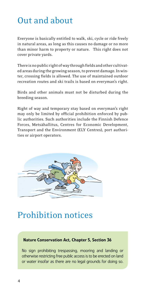### <span id="page-3-0"></span>Out and about

Everyone is basically entitled to walk, ski, cycle or ride freely in natural areas, as long as this causes no damage or no more than minor harm to property or nature. This right does not cover private yards.

There is no public right of way through fields and other cultivated areas during the growing season, to prevent damage. In winter, crossing fields is allowed. The use of maintained outdoor recreation routes and ski trails is based on everyman's right.

Birds and other animals must not be disturbed during the breeding season.

Right of way and temporary stay based on everyman's right may only be limited by official prohibition enforced by public authorities. Such authorities include the Finnish Defence Forces, Metsähallitus, Centres for Economic Development, Transport and the Environment (ELY Centres), port authorities or airport operators.



### Prohibition notices

#### Nature Conservation Act, Chapter 5, Section 36

No sign prohibiting trespassing, mooring and landing or otherwise restricting free public access is to be erected on land or water insofar as there are no legal grounds for doing so.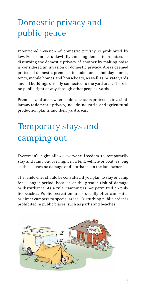# <span id="page-4-0"></span>Domestic privacy and public peace

Intentional invasion of domestic privacy is prohibited by law. For example, unlawfully entering domestic premises or disturbing the domestic privacy of another by making noise is considered an invasion of domestic privacy. Areas deemed protected domestic premises include homes, holiday homes, tents, mobile homes and houseboats, as well as private yards and all buildings directly connected to the yard area. There is no public right of way through other people's yards.

Premises and areas where public peace is protected, in a similar way to domestic privacy, include industrial and agricultural production plants and their yard areas.

# Temporary stays and camping out

Everyman's right allows everyone freedom to temporarily stay and camp out overnight in a tent, vehicle or boat, as long as this causes no damage or disturbance to the landowner.

The landowner should be consulted if you plan to stay or camp for a longer period, because of the greater risk of damage or disturbance. As a rule, camping is not permitted on public beaches. Public recreation areas usually offer campsites or direct campers to special areas. Disturbing public order is prohibited in public places, such as parks and beaches.

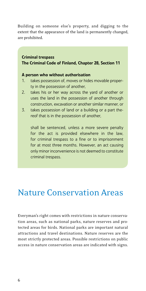<span id="page-5-0"></span>Building on someone else's property, and digging to the extent that the appearance of the land is permanently changed, are prohibited.

#### Criminal trespass The Criminal Code of Finland, Chapter 28, Section 11

#### A person who without authorisation

- 1. takes possession of, moves or hides movable property in the possession of another,
- 2. takes his or her way across the yard of another or uses the land in the possession of another through construction, excavation or another similar manner, or
- 3. takes possession of land or a building or a part thereof that is in the possession of another,

shall be sentenced, unless a more severe penalty for the act is provided elsewhere in the law, for criminal trespass to a fine or to imprisonment for at most three months. However, an act causing only minor inconvenience is not deemed to constitute criminal trespass.

### Nature Conservation Areas

Everyman's right comes with restrictions in nature conservation areas, such as national parks, nature reserves and protected areas for birds. National parks are important natural attractions and travel destinations. Nature reserves are the most strictly protected areas. Possible restrictions on public access in nature conservation areas are indicated with signs.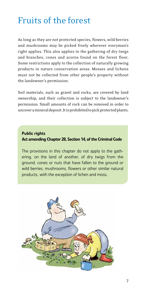### <span id="page-6-0"></span>Fruits of the forest

As long as they are not protected species, flowers, wild berries and mushrooms may be picked freely wherever everyman's right applies. This also applies to the gathering of dry twigs and branches, cones and acorns found on the forest floor. Some restrictions apply to the collection of naturally growing products in nature conservation areas. Mosses and lichens must not be collected from other people's property without the landowner's permission.

Soil materials, such as gravel and rocks, are covered by land ownership, and their collection is subject to the landowner's permission. Small amounts of rock can be removed in order to uncover a mineral deposit. It is prohibited to pick protected plants.

### Public rights Act amending Chapter 28, Section 14, of the Criminal Code

The provisions in this chapter do not apply to the gathering, on the land of another, of dry twigs from the ground, cones or nuts that have fallen to the ground or wild berries, mushrooms, flowers or other similar natural products, with the exception of lichen and moss.

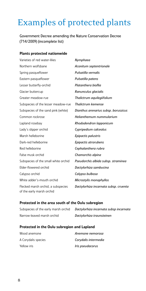# <span id="page-7-0"></span>Examples of protected plants

Government Decree amending the Nature Conservation Decree (714/2009) (incomplete list)

#### Plants protected nationwide

| Varieties of red water-lilies                                   | Nymphaea                              |  |
|-----------------------------------------------------------------|---------------------------------------|--|
| Northern wolfsbane                                              | Aconitum septentrionale               |  |
| Spring pasqueflower                                             | Pulsatilla vernalis                   |  |
| Eastern pasqueflower                                            | Pulsatilla patens                     |  |
| Lesser butterfly-orchid                                         | Platanthera bioflia                   |  |
| Glacier buttercup                                               | Ranunculus glacialis                  |  |
| Greater meadow-rue                                              | Thalictrum aquilegiifolium            |  |
| Subspecies of the lesser meadow-rue                             | <b>Thalictrum kemense</b>             |  |
| Subspecies of the sand pink (white)                             | Dianthus arenarius subsp. borussicus  |  |
| Common rockrose                                                 | Helianthemum nummularium              |  |
| Lapland rosebay                                                 | Rhododendron lapponicum               |  |
| Lady's slipper orchid                                           | Cypripedium calceolus                 |  |
| Marsh helleborine                                               | Epipactis palustris                   |  |
| Dark-red helleborine                                            | Epipactis atrorubens                  |  |
| Red helleborine                                                 | Cephalanthera rubra                   |  |
| False musk orchid                                               | Chamorchis alpina                     |  |
| Subspecies of the small white orchid                            | Pseudorchis albida subsp. straminea   |  |
| Elder-flowered orchid                                           | Dactylorhiza sambucina                |  |
| Calypso orchid                                                  | Calypso bulbosa                       |  |
| White adder's-mouth orchid                                      | Microstylis monophyllos               |  |
| Flecked marsh orchid, a subspecies<br>of the early marsh orchid | Dactylorhiza incarnata subsp. cruenta |  |

#### Protected in the area south of the Oulu subregion

| Subspecies of the early marsh orchid |  |
|--------------------------------------|--|
| Narrow-leaved marsh orchid           |  |

Subspecies of the early marsh orchid *Dactylorhiza incarnata subsp incarnata* Narrow-leaved marsh orchid *Dactylorhiza traunsteinen*

#### Protected in the Oulu subregion and Lapland

| Wood anemone        | Anemone nemorosa     |
|---------------------|----------------------|
| A Corydalis species | Corydalis intermedia |
| Yellow iris         | Iris pseudacorus     |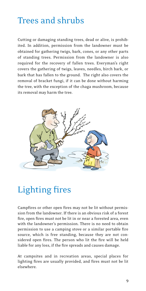### <span id="page-8-0"></span>Trees and shrubs

Cutting or damaging standing trees, dead or alive, is prohibited. In addition, permission from the landowner must be obtained for gathering twigs, bark, cones, or any other parts of standing trees. Permission from the landowner is also required for the recovery of fallen trees. Everyman's right covers the gathering of twigs, leaves, needles, birch bark, or bark that has fallen to the ground. The right also covers the removal of bracket fungi, if it can be done without harming the tree, with the exception of the chaga mushroom, because its removal may harm the tree.



# Lighting fires

Campfires or other open fires may not be lit without permission from the landowner. If there is an obvious risk of a forest fire, open fires must not be lit in or near a forested area, even with the landowner's permission. There is no need to obtain permission to use a camping stove or a similar portable fire source, which is free standing, because they are not considered open fires. The person who lit the fire will be held liable for any loss, if the fire spreads and causes damage.

At campsites and in recreation areas, special places for lighting fires are usually provided, and fires must not be lit elsewhere.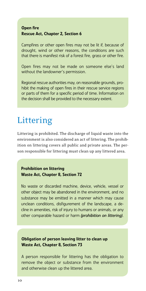### <span id="page-9-0"></span>Open fire Rescue Act, Chapter 2, Section 6

Campfires or other open fires may not be lit if, because of drought, wind or other reasons, the conditions are such that there is manifest risk of a forest fire, grass or other fire.

Open fires may not be made on someone else's land without the landowner's permission.

Regional rescue authorities may, on reasonable grounds, prohibit the making of open fires in their rescue service regions or parts of them for a specific period of time. Information on the decision shall be provided to the necessary extent.

### Littering

Littering is prohibited. The discharge of liquid waste into the environment is also considered an act of littering. The prohibition on littering covers all public and private areas. The person responsible for littering must clean up any littered area.

### Prohibition on littering Waste Act, Chapter 8, Section 72

No waste or discarded machine, device, vehicle, vessel or other object may be abandoned in the environment, and no substance may be emitted in a manner which may cause unclean conditions, disfigurement of the landscape, a decline in amenities, risk of injury to humans or animals, or any other comparable hazard or harm *(prohibition on littering)*.

#### Obligation of person leaving litter to clean up Waste Act, Chapter 8, Section 73

A person responsible for littering has the obligation to remove the object or substance from the environment and otherwise clean up the littered area.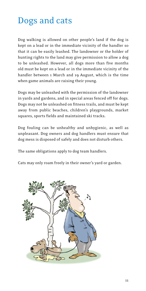### <span id="page-10-0"></span>Dogs and cats

Dog walking is allowed on other people's land if the dog is kept on a lead or in the immediate vicinity of the handler so that it can be easily leashed. The landowner or the holder of hunting rights to the land may give permission to allow a dog to be unleashed. However, all dogs more than five months old must be kept on a lead or in the immediate vicinity of the handler between 1 March and 19 August, which is the time when game animals are raising their young.

Dogs may be unleashed with the permission of the landowner in yards and gardens, and in special areas fenced off for dogs. Dogs may not be unleashed on fitness trails, and must be kept away from public beaches, children's playgrounds, market squares, sports fields and maintained ski tracks.

Dog fouling can be unhealthy and unhygienic, as well as unpleasant. Dog owners and dog handlers must ensure that dog mess is disposed of safely and does not disturb others.

The same obligations apply to dog team handlers.

Cats may only roam freely in their owner's yard or garden.

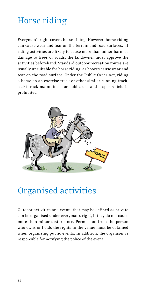# <span id="page-11-0"></span>Horse riding

Everyman's right covers horse riding. However, horse riding can cause wear and tear on the terrain and road surfaces. If riding activities are likely to cause more than minor harm or damage to trees or roads, the landowner must approve the activities beforehand. Standard outdoor recreation routes are usually unsuitable for horse riding, as hooves cause wear and tear on the road surface. Under the Public Order Act, riding a horse on an exercise track or other similar running track, a ski track maintained for public use and a sports field is prohibited.



### Organised activities

Outdoor activities and events that may be defined as private can be organised under everyman's right, if they do not cause more than minor disturbance. Permission from the person who owns or holds the rights to the venue must be obtained when organising public events. In addition, the organiser is responsible for notifying the police of the event.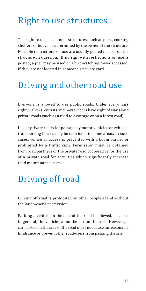### <span id="page-12-0"></span>Right to use structures

The right to use permanent structures, such as piers, cooking shelters or buoys, is determined by the owner of the structure. Possible restrictions on use are usually posted near or on the structure in question. If no sign with restrictions on use is posted, a pier may be used or a bird-watching tower accessed, if they are not located in someone's private yard.

### Driving and other road use

Everyone is allowed to use public roads. Under everyman's right, walkers, cyclists and horse-riders have right of way along private roads (such as a road to a cottage or on a forest road).

Use of private roads for passage by motor vehicles or vehicles transporting horses may be restricted in some areas. In such cases, vehicular access is prevented with a boom barrier or prohibited by a traffic sign. Permission must be obtained from road partners or the private road cooperative for the use of a private road for activities which significantly increase road maintenance costs.

### Driving off road

Driving off road is prohibited on other people's land without the landowner's permission.

Parking a vehicle on the side of the road is allowed, because, in general, the vehicle cannot be left on the road. However, a car parked on the side of the road must not cause unreasonable hindrance or prevent other road-users from passing the site.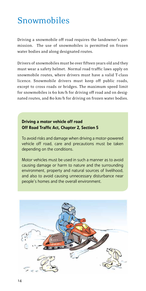### <span id="page-13-0"></span>Snowmobiles

Driving a snowmobile off road requires the landowner's permission. The use of snowmobiles is permitted on frozen water bodies and along designated routes.

Drivers of snowmobiles must be over fifteen years old and they must wear a safety helmet. Normal road traffic laws apply on snowmobile routes, where drivers must have a valid T-class licence. Snowmobile drivers must keep off public roads, except to cross roads or bridges. The maximum speed limit for snowmobiles is 60 km/h for driving off road and on designated routes, and 80 km/h for driving on frozen water bodies.

### Driving a motor vehicle off road Off Road Traffic Act, Chapter 2, Section 5

To avoid risks and damage when driving a motor-powered vehicle off road, care and precautions must be taken depending on the conditions.

Motor vehicles must be used in such a manner as to avoid causing damage or harm to nature and the surrounding environment, property and natural sources of livelihood, and also to avoid causing unnecessary disturbance near people's homes and the overall environment.

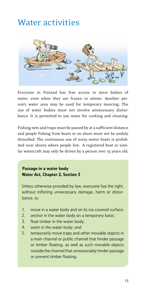### <span id="page-14-0"></span>Water activities



Everyone in Finland has free access to most bodies of water, even when they are frozen in winter. Another person's water area may be used for temporary mooring. The use of water bodies must not involve unnecessary disturbance. It is permitted to use water for cooking and cleaning.

Fishing nets and traps must be passed by at a sufficient distance and people fishing from boats or on shore must not be unduly disturbed. The continuous use of noisy motor boats is prohibited near shores where people live. A registered boat or similar watercraft may only be driven by a person over 15 years old.

### Passage in a water body Water Act, Chapter 2, Section 3

Unless otherwise provided by law, everyone has the right, without inflicting unnecessary damage, harm or disturbance, to

- 1. move in a water body and on its ice-covered surface;
- 2. anchor in the water body on a temporary basis;
- 3. float timber in the water body;
- 4. swim in the water body; and
- 5. temporarily move traps and other movable objects in a main channel or public channel that hinder passage or timber floating, as well as such movable objects outside the channel that unreasonably hinder passage or prevent timber floating.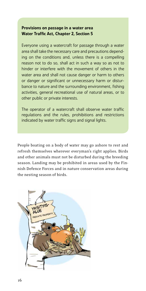### Provisions on passage in a water area Water Traffic Act, Chapter 2, Section 5

Everyone using a watercraft for passage through a water area shall take the necessary care and precautions depending on the conditions and, unless there is a compelling reason not to do so, shall act in such a way so as not to hinder or interfere with the movement of others in the water area and shall not cause danger or harm to others or danger or significant or unnecessary harm or disturbance to nature and the surrounding environment, fishing activities, general recreational use of natural areas, or to other public or private interests.

The operator of a watercraft shall observe water traffic regulations and the rules, prohibitions and restrictions indicated by water traffic signs and signal lights.

People boating on a body of water may go ashore to rest and refresh themselves wherever everyman's right applies. Birds and other animals must not be disturbed during the breeding season. Landing may be prohibited in areas used by the Finnish Defence Forces and in nature conservation areas during the nesting season of birds.

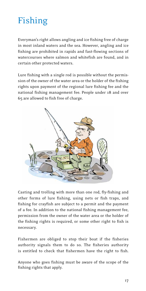# <span id="page-16-0"></span>Fishing

Everyman's right allows angling and ice fishing free of charge in most inland waters and the sea. However, angling and ice fishing are prohibited in rapids and fast-flowing sections of watercourses where salmon and whitefish are found, and in certain other protected waters.

Lure fishing with a single rod is possible without the permission of the owner of the water area or the holder of the fishing rights upon payment of the regional lure fishing fee and the national fishing management fee. People under 18 and over 65 are allowed to fish free of charge.



Casting and trolling with more than one rod, fly-fishing and other forms of lure fishing, using nets or fish traps, and fishing for crayfish are subject to a permit and the payment of a fee. In addition to the national fishing management fee, permission from the owner of the water area or the holder of the fishing rights is required, or some other right to fish is necessary.

Fishermen are obliged to stop their boat if the fisheries authority signals them to do so. The fisheries authority is entitled to check that fishermen have the right to fish.

Anyone who goes fishing must be aware of the scope of the fishing rights that apply.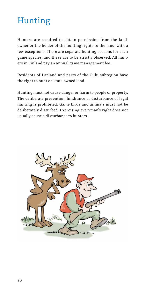### <span id="page-17-0"></span>Hunting

Hunters are required to obtain permission from the landowner or the holder of the hunting rights to the land, with a few exceptions. There are separate hunting seasons for each game species, and these are to be strictly observed. All hunters in Finland pay an annual game management fee.

Residents of Lapland and parts of the Oulu subregion have the right to hunt on state-owned land.

Hunting must not cause danger or harm to people or property. The deliberate prevention, hindrance or disturbance of legal hunting is prohibited. Game birds and animals must not be deliberately disturbed. Exercising everyman's right does not usually cause a disturbance to hunters.

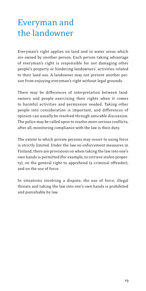### <span id="page-18-0"></span>Everyman and the landowner

Everyman's right applies on land and in water areas which are owned by another person. Each person taking advantage of everyman's right is responsible for not damaging other people's property or hindering landowners' activities related to their land use. A landowner may not prevent another person from enjoying everyman's right without legal grounds.

There may be differences of interpretation between landowners and people exercising their rights when it comes to harmful activities and permission needed. Taking other people into consideration is important, and differences of opinion can usually be resolved through amicable discussion. The police may be called upon to resolve more serious conflicts; after all, monitoring compliance with the law is their duty.

The extent to which private persons may resort to using force is strictly limited. Under the law on enforcement measures in Finland, there are provisions on when taking the law into one's own hands is permitted (for example, to retrieve stolen property), on the general right to apprehend (a criminal offender), and on the use of force.

In situations involving a dispute, the use of force, illegal threats and taking the law into one's own hands is prohibited and punishable by law.